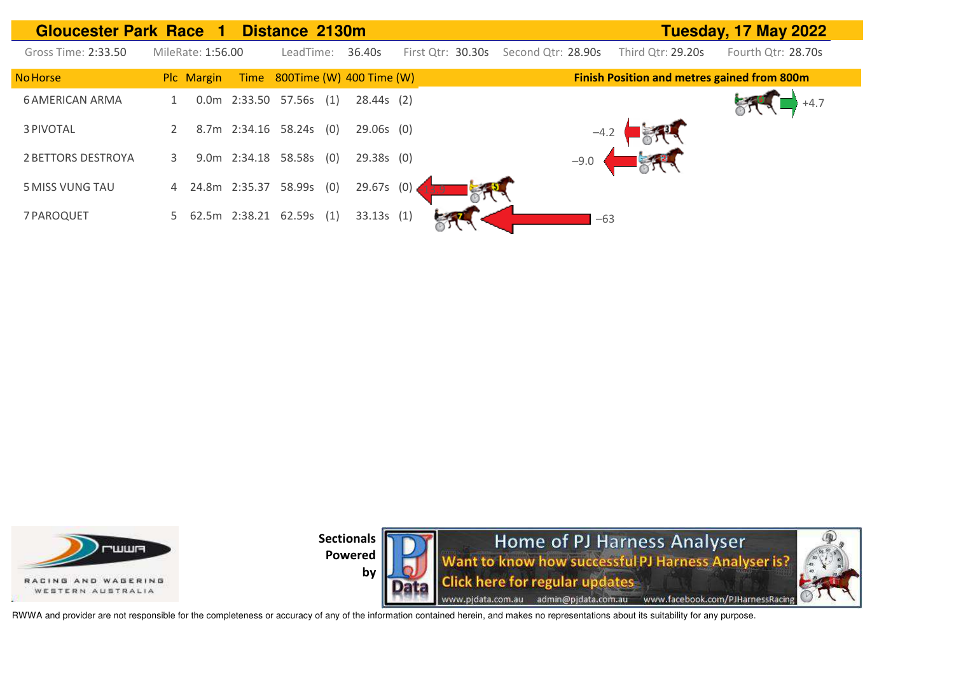| <b>Gloucester Park Race</b> |                   | $\mathbf 1$     | Distance 2130m                     |              |                   |                    |                                                    | Tuesday, 17 May 2022 |
|-----------------------------|-------------------|-----------------|------------------------------------|--------------|-------------------|--------------------|----------------------------------------------------|----------------------|
| Gross Time: 2:33.50         | MileRate: 1:56.00 |                 | LeadTime:                          | 36.40s       | First Otr: 30.30s | Second Otr: 28.90s | Third Qtr: 29.20s                                  | Fourth Qtr: 28.70s   |
| <b>No Horse</b>             | Plc Margin        |                 | Time $800$ Time (W) $400$ Time (W) |              |                   |                    | <b>Finish Position and metres gained from 800m</b> |                      |
| <b>6 AMERICAN ARMA</b>      |                   |                 | 0.0m 2:33.50 57.56s (1)            | $28.44s$ (2) |                   |                    |                                                    |                      |
| 3 PIVOTAL                   |                   |                 | 8.7m 2:34.16 58.24s (0)            | $29.06s$ (0) |                   | $-4.2$             |                                                    |                      |
| 2 BETTORS DESTROYA          | 3                 | 9.0m 2:34.18    | 58.58s (0)                         | $29.38s$ (0) |                   | $-9.0$             |                                                    |                      |
| 5 MISS VUNG TAU             |                   | 4 24.8m 2:35.37 | 58.99s<br>(0)                      | 29.67s (0)   |                   |                    |                                                    |                      |
| 7 PAROQUET                  |                   | 5 62.5m 2:38.21 | 62.59s(1)                          | 33.13s(1)    |                   | $-63$              |                                                    |                      |



**Sectionals Powered** 





RWWA and provider are not responsible for the completeness or accuracy of any of the information contained herein, and makes no representations about its suitability for any purpose.

by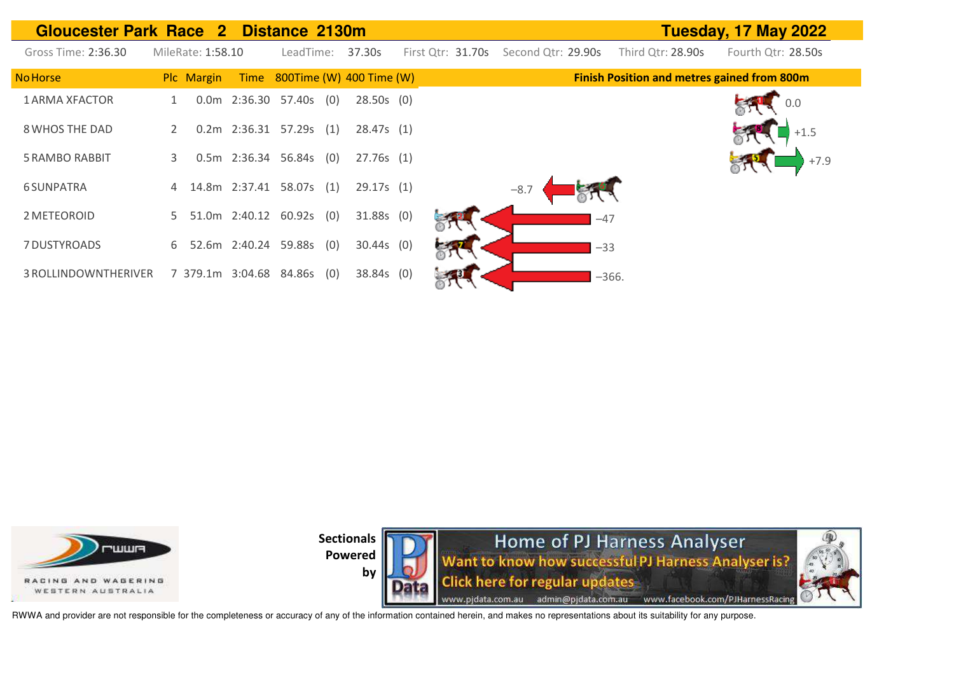| Gloucester Park Race 2 Distance 2130m |   |                   |               |                          |                               |                   |        |                    |                                                    | Tuesday, 17 May 2022 |
|---------------------------------------|---|-------------------|---------------|--------------------------|-------------------------------|-------------------|--------|--------------------|----------------------------------------------------|----------------------|
| Gross Time: 2:36.30                   |   | MileRate: 1:58.10 |               | LeadTime:                | 37.30s                        | First Qtr: 31.70s |        | Second Qtr: 29.90s | Third Qtr: 28.90s                                  | Fourth Qtr: 28.50s   |
| <b>No Horse</b>                       |   | Plc Margin        |               |                          | Time 800Time (W) 400 Time (W) |                   |        |                    | <b>Finish Position and metres gained from 800m</b> |                      |
| 1 ARMA XFACTOR                        |   |                   |               | 0.0m 2:36.30 57.40s (0)  | $28.50s$ (0)                  |                   |        |                    |                                                    | 0.0                  |
| 8 WHOS THE DAD                        |   |                   |               | 0.2m 2:36.31 57.29s (1)  | 28.47s(1)                     |                   |        |                    |                                                    | $+1.5$               |
| <b>5 RAMBO RABBIT</b>                 | 3 |                   |               | 0.5m 2:36.34 56.84s (0)  | 27.76s(1)                     |                   |        |                    |                                                    | $+7.9$               |
| <b>6 SUNPATRA</b>                     | 4 |                   |               | 14.8m 2:37.41 58.07s (1) | 29.17s(1)                     |                   | $-8.7$ |                    |                                                    |                      |
| 2 METEOROID                           | 5 |                   | 51.0m 2:40.12 | $60.92s$ (0)             | 31.88s (0)                    |                   |        | $-47$              |                                                    |                      |
| 7 DUSTYROADS                          | 6 |                   |               | 52.6m 2:40.24 59.88s (0) | $30.44s$ (0)                  |                   |        | $-33$              |                                                    |                      |
| 3 ROLLINDOWNTHERIVER                  |   | 7 379.1m          | 3:04.68       | 84.86s (0)               | 38.84s (0)                    |                   |        | $-366.$            |                                                    |                      |



**Sectionals Powered** 



RWWA and provider are not responsible for the completeness or accuracy of any of the information contained herein, and makes no representations about its suitability for any purpose.

by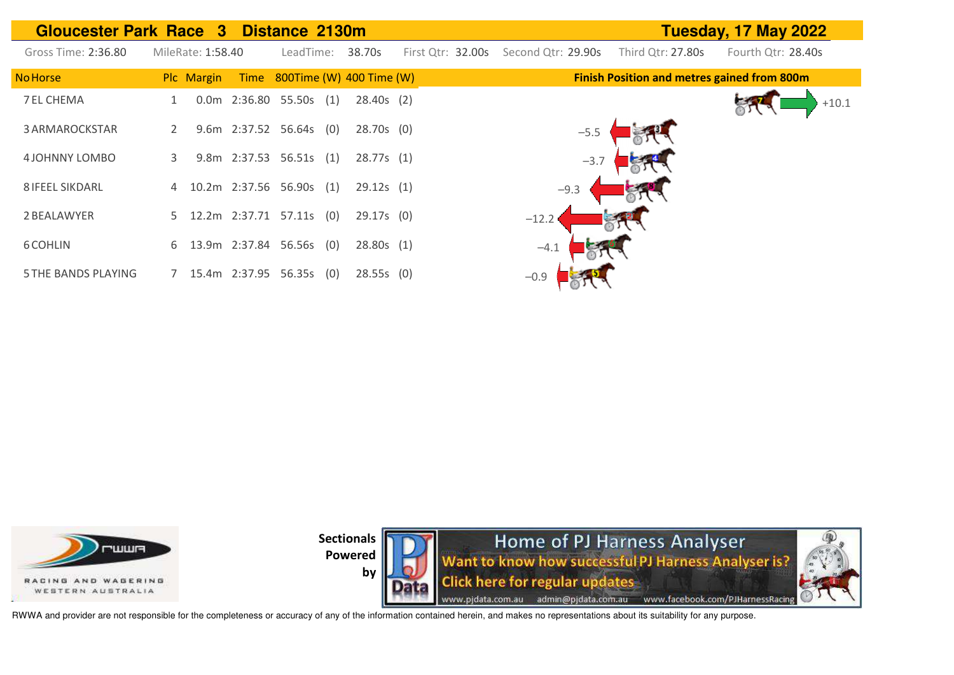| Gloucester Park Race 3 Distance 2130m |   |                   |      |                            |     |                          |                   |                    |                                                    | Tuesday, 17 May 2022 |
|---------------------------------------|---|-------------------|------|----------------------------|-----|--------------------------|-------------------|--------------------|----------------------------------------------------|----------------------|
| Gross Time: 2:36.80                   |   | MileRate: 1:58.40 |      | LeadTime:                  |     | 38.70s                   | First Qtr: 32.00s | Second Qtr: 29.90s | Third Qtr: 27.80s                                  | Fourth Qtr: 28.40s   |
| <b>No Horse</b>                       |   | Plc Margin        | Time |                            |     | 800Time (W) 400 Time (W) |                   |                    | <b>Finish Position and metres gained from 800m</b> |                      |
| 7 EL CHEMA                            |   |                   |      | 0.0m 2:36.80 55.50s (1)    |     | $28.40s$ (2)             |                   |                    |                                                    | $+10.1$              |
| 3 ARMAROCKSTAR                        | 2 |                   |      | 9.6m 2:37.52 56.64s (0)    |     | $28.70s$ (0)             |                   | $-5.5$             |                                                    |                      |
| 4 JOHNNY LOMBO                        | 3 |                   |      | 9.8m 2:37.53 56.51s (1)    |     | 28.77s(1)                |                   | $-3.7$             |                                                    |                      |
| <b>8 IFEEL SIKDARL</b>                |   |                   |      | 4 10.2m 2:37.56 56.90s (1) |     | 29.12s(1)                |                   | $-9.3$             |                                                    |                      |
| 2 BEALAWYER                           |   |                   |      | 5 12.2m 2:37.71 57.11s (0) |     | 29.17s(0)                |                   | $-12.2$            |                                                    |                      |
| 6 COHLIN                              |   |                   |      | 6 13.9m 2:37.84 56.56s (0) |     | 28.80s(1)                |                   | $-4.1$             |                                                    |                      |
| 5 THE BANDS PLAYING                   |   |                   |      | 7 15.4m 2:37.95 56.35s     | (0) | 28.55s(0)                |                   | $-0.9$             |                                                    |                      |



**Sectionals Powered** 

**by** 

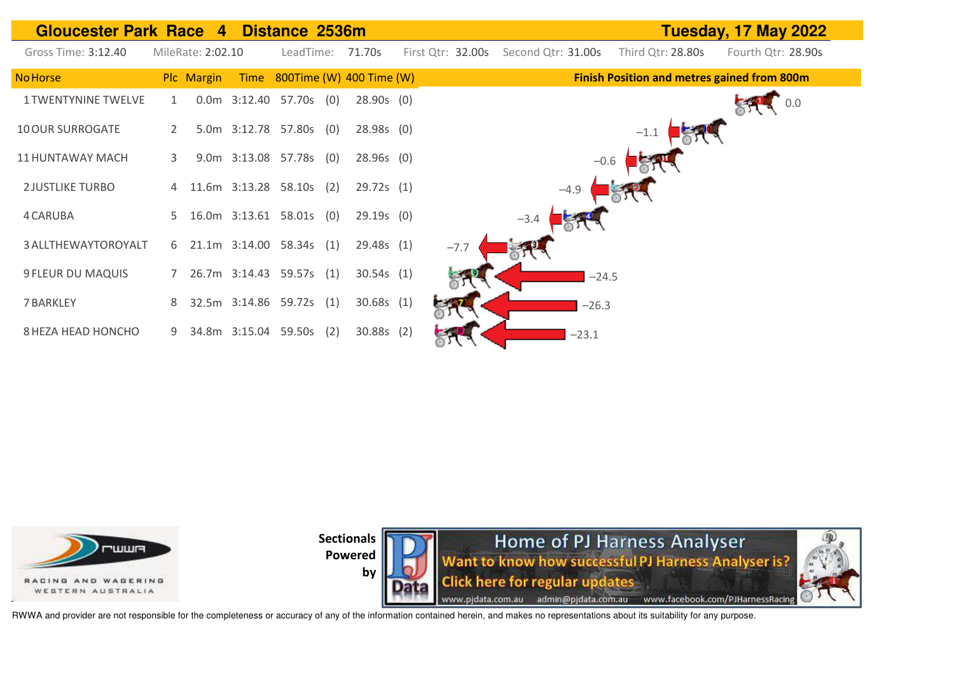| Gloucester Park Race 4 Distance 2536m<br>Tuesday, 17 May 2022 |   |                   |  |                            |     |                               |  |                   |                    |         |                                                    |                    |  |
|---------------------------------------------------------------|---|-------------------|--|----------------------------|-----|-------------------------------|--|-------------------|--------------------|---------|----------------------------------------------------|--------------------|--|
| Gross Time: <b>3:12.40</b>                                    |   | MileRate: 2:02.10 |  |                            |     | LeadTime: 71.70s              |  | First Qtr: 32.00s | Second Qtr: 31.00s |         | Third Otr: 28.80s                                  | Fourth Qtr: 28.90s |  |
| <b>No Horse</b>                                               |   | Plc Margin        |  |                            |     | Time 800Time (W) 400 Time (W) |  |                   |                    |         | <b>Finish Position and metres gained from 800m</b> |                    |  |
| <b>1 TWENTYNINE TWELVE</b>                                    | 1 |                   |  | $0.0m$ 3:12.40 57.70s (0)  |     | $28.90s$ (0)                  |  |                   |                    |         |                                                    |                    |  |
| 10 OUR SURROGATE                                              | 2 |                   |  | 5.0m 3:12.78 57.80s (0)    |     | $28.98s$ (0)                  |  |                   |                    |         | $-1.1$                                             |                    |  |
| <b>11 HUNTAWAY MACH</b>                                       | 3 |                   |  | 9.0m 3:13.08 57.78s (0)    |     | $28.96s$ (0)                  |  |                   |                    | $-0.6$  |                                                    |                    |  |
| <b>2 JUSTLIKE TURBO</b>                                       |   |                   |  | 4 11.6m 3:13.28 58.10s (2) |     | 29.72s(1)                     |  |                   | $-4.9$             |         |                                                    |                    |  |
| 4 CARUBA                                                      |   |                   |  | 5 16.0m 3:13.61 58.01s (0) |     | $29.19s$ (0)                  |  |                   | $-3.4$             |         |                                                    |                    |  |
| 3 ALLTHEWAYTOROYALT                                           |   |                   |  | 6 21.1m 3:14.00 58.34s (1) |     | 29.48s(1)                     |  | $-7.7$            |                    |         |                                                    |                    |  |
| 9 FLEUR DU MAQUIS                                             | 7 |                   |  | 26.7m 3:14.43 59.57s (1)   |     | 30.54s(1)                     |  |                   |                    | $-24.5$ |                                                    |                    |  |
| 7 BARKLEY                                                     | 8 |                   |  | 32.5m 3:14.86 59.72s       | (1) | 30.68s(1)                     |  |                   |                    | $-26.3$ |                                                    |                    |  |
| 8 HEZA HEAD HONCHO                                            | 9 |                   |  | 34.8m 3:15.04 59.50s       | (2) | $30.88s$ (2)                  |  |                   |                    | $-23.1$ |                                                    |                    |  |



**Sectionals** 

**Powered by** 

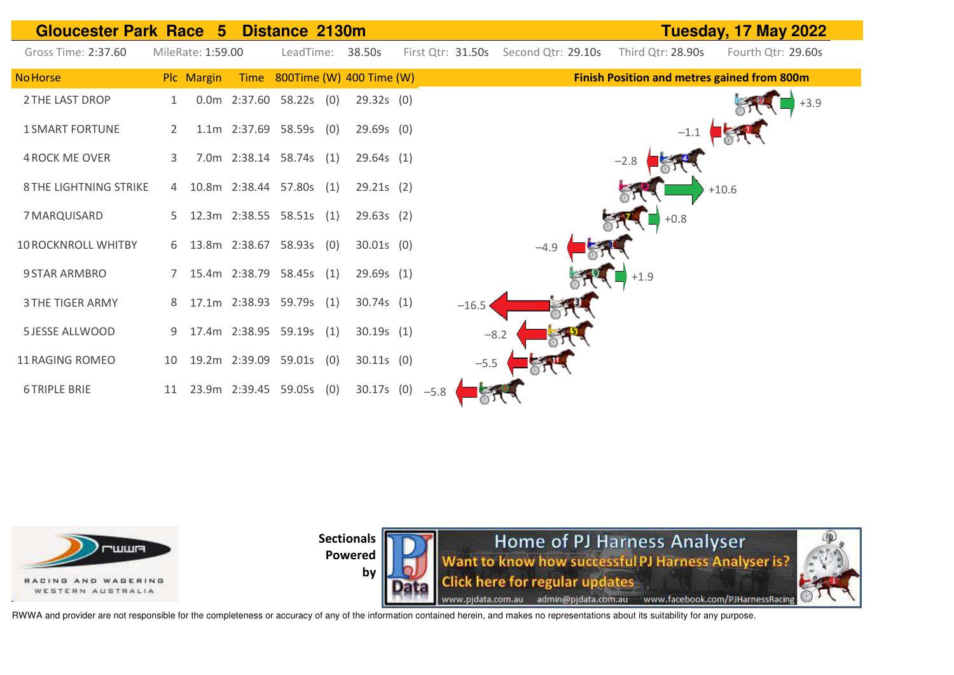| <b>Gloucester Park Race 5</b> |              |                   |                            | Distance 2130m |                               |        |         |                                      |        |                   | Tuesday, 17 May 2022                               |
|-------------------------------|--------------|-------------------|----------------------------|----------------|-------------------------------|--------|---------|--------------------------------------|--------|-------------------|----------------------------------------------------|
| Gross Time: 2:37.60           |              | MileRate: 1:59.00 |                            |                | LeadTime: 38.50s              |        |         | First Qtr: 31.50s Second Qtr: 29.10s |        | Third Qtr: 28.90s | Fourth Qtr: 29.60s                                 |
| <b>No Horse</b>               |              | Plc Margin        |                            |                | Time 800Time (W) 400 Time (W) |        |         |                                      |        |                   | <b>Finish Position and metres gained from 800m</b> |
| 2 THE LAST DROP               | $\mathbf{1}$ |                   | $0.0m$ 2:37.60 58.22s (0)  |                | $29.32s$ (0)                  |        |         |                                      |        |                   | $+3.9$                                             |
| <b>1 SMART FORTUNE</b>        | 2            |                   | 1.1m 2:37.69 58.59s (0)    |                | $29.69s$ (0)                  |        |         |                                      |        |                   |                                                    |
| 4 ROCK ME OVER                | 3            |                   | 7.0m 2:38.14 58.74s (1)    |                | 29.64s(1)                     |        |         |                                      | $-2.8$ |                   |                                                    |
| 8 THE LIGHTNING STRIKE        | 4            |                   | 10.8m 2:38.44 57.80s (1)   |                | 29.21s(2)                     |        |         |                                      |        |                   | $+10.6$                                            |
| 7 MARQUISARD                  |              |                   | 5 12.3m 2:38.55 58.51s (1) |                | 29.63s(2)                     |        |         |                                      |        | $+0.8$            |                                                    |
| <b>10 ROCKNROLL WHITBY</b>    |              |                   | 6 13.8m 2:38.67 58.93s (0) |                | $30.01s$ (0)                  |        |         | $-4.9$                               |        |                   |                                                    |
| 9 STAR ARMBRO                 |              |                   | 15.4m 2:38.79 58.45s (1)   |                | 29.69s(1)                     |        |         |                                      |        | $+1.9$            |                                                    |
| <b>3 THE TIGER ARMY</b>       | 8            |                   | 17.1m 2:38.93 59.79s (1)   |                | 30.74s(1)                     |        | $-16.5$ |                                      |        |                   |                                                    |
| 5 JESSE ALLWOOD               | 9            |                   | 17.4m 2:38.95 59.19s (1)   |                | 30.19s(1)                     |        | $-8.2$  |                                      |        |                   |                                                    |
| 11 RAGING ROMEO               | 10           |                   | 19.2m 2:39.09 59.01s (0)   |                | $30.11s$ (0)                  |        | $-5.5$  |                                      |        |                   |                                                    |
| <b>6 TRIPLE BRIE</b>          | 11           |                   | 23.9m 2:39.45 59.05s (0)   |                | $30.17s$ (0)                  | $-5.8$ |         |                                      |        |                   |                                                    |



**Sectionals Powered** 

**by** 

**Home of PJ Harness Analyser**<br>Want to know how successful PJ Harness Analyser is? **Click here for regular updates** www.pjdata.com.au admin@pjdata.com.au www.facebook.com/PJHarnessRacing

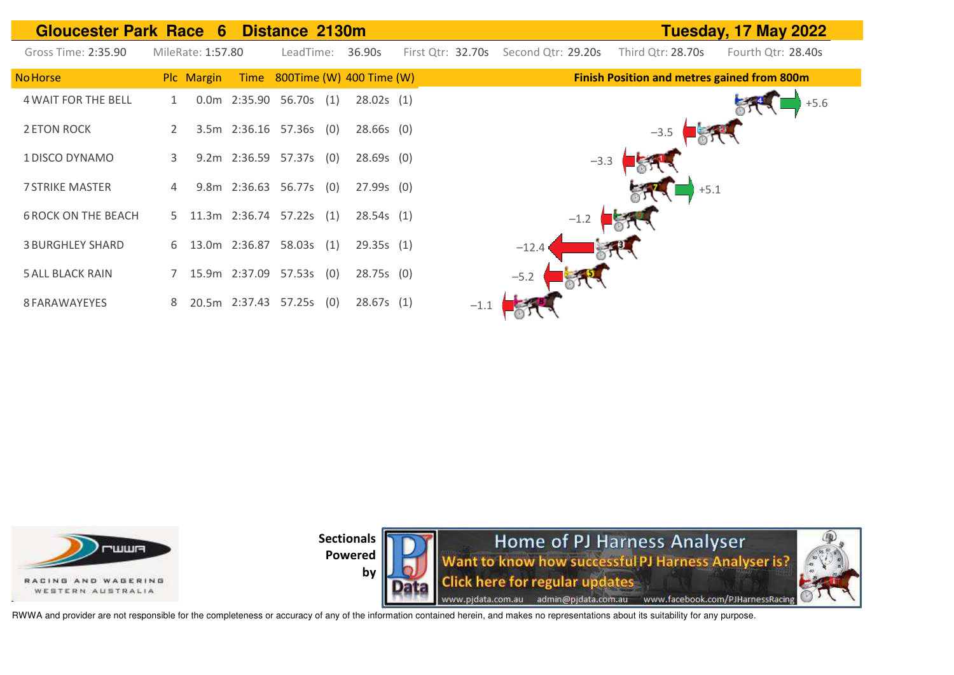| <b>Gloucester Park Race 6</b> |                   |               | Distance 2130m                |              |                   |                    |                                                    | Tuesday, 17 May 2022 |
|-------------------------------|-------------------|---------------|-------------------------------|--------------|-------------------|--------------------|----------------------------------------------------|----------------------|
| Gross Time: 2:35.90           | MileRate: 1:57.80 |               | LeadTime:                     | 36.90s       | First Qtr: 32.70s | Second Qtr: 29.20s | Third Qtr: 28.70s                                  | Fourth Qtr: 28.40s   |
| <b>No Horse</b>               | Plc Margin        |               | Time 800Time (W) 400 Time (W) |              |                   |                    | <b>Finish Position and metres gained from 800m</b> |                      |
| <b>4 WAIT FOR THE BELL</b>    | 1                 |               | 0.0m 2:35.90 56.70s (1)       | 28.02s(1)    |                   |                    |                                                    | $+5.6$               |
| 2 ETON ROCK                   |                   |               | 3.5m 2:36.16 57.36s (0)       | $28.66s$ (0) |                   |                    | $-3.5$                                             |                      |
| 1 DISCO DYNAMO                | 3                 |               | 9.2m 2:36.59 57.37s (0)       | $28.69s$ (0) |                   | $-3.3$             |                                                    |                      |
| 7 STRIKE MASTER               |                   |               | 9.8m 2:36.63 56.77s (0)       | $27.99s$ (0) |                   |                    | $+5.1$                                             |                      |
| <b>6 ROCK ON THE BEACH</b>    | 5                 |               | 11.3m 2:36.74 57.22s (1)      | 28.54s(1)    |                   | $-1.2$             |                                                    |                      |
| <b>3 BURGHLEY SHARD</b>       | 6                 | 13.0m 2:36.87 | 58.03s(1)                     | 29.35s(1)    |                   | $-12.4$            |                                                    |                      |
| 5 ALL BLACK RAIN              |                   |               | 15.9m 2:37.09 57.53s (0)      | 28.75s(0)    |                   | $-5.2$             |                                                    |                      |
| 8 FARAWAYEYES                 | 8                 |               | 20.5m 2:37.43 57.25s (0)      | 28.67s(1)    | $-1.1$            |                    |                                                    |                      |



**Sectionals Powered** 

**by**